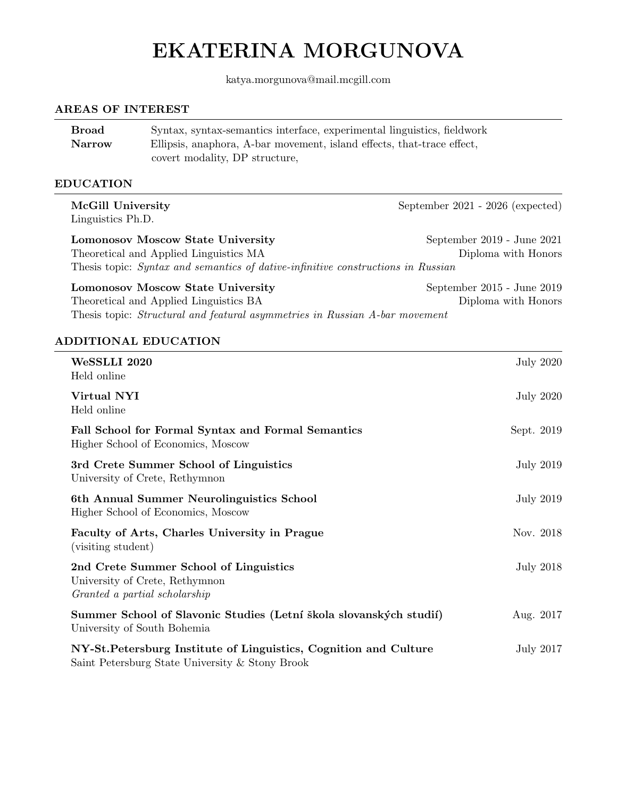# EKATERINA MORGUNOVA

katya.morgunova@mail.mcgill.com

#### AREAS OF INTEREST

| <b>Broad</b>  | Syntax, syntax-semantics interface, experimental linguistics, fieldwork |
|---------------|-------------------------------------------------------------------------|
| <b>Narrow</b> | Ellipsis, anaphora, A-bar movement, island effects, that-trace effect,  |
|               | covert modality, DP structure,                                          |

Thesis topic: Structural and featural asymmetries in Russian A-bar movement

#### EDUCATION

McGill University September 2021 - 2026 (expected) Linguistics Ph.D. Lomonosov Moscow State University September 2019 - June 2021 Theoretical and Applied Linguistics MA Diploma with Honors Thesis topic: Syntax and semantics of dative-infinitive constructions in Russian Lomonosov Moscow State University September 2015 - June 2019 Theoretical and Applied Linguistics BA Diploma with Honors

#### ADDITIONAL EDUCATION

| WeSSLLI 2020<br>Held online                                                                                          | <b>July 2020</b> |
|----------------------------------------------------------------------------------------------------------------------|------------------|
| Virtual NYI<br>Held online                                                                                           | <b>July 2020</b> |
| Fall School for Formal Syntax and Formal Semantics<br>Higher School of Economics, Moscow                             | Sept. 2019       |
| 3rd Crete Summer School of Linguistics<br>University of Crete, Rethymnon                                             | July 2019        |
| 6th Annual Summer Neurolinguistics School<br>Higher School of Economics, Moscow                                      | July 2019        |
| Faculty of Arts, Charles University in Prague<br>(visiting student)                                                  | Nov. 2018        |
| 2nd Crete Summer School of Linguistics<br>University of Crete, Rethymnon<br>Granted a partial scholarship            | July 2018        |
| Summer School of Slavonic Studies (Letní škola slovanských studií)<br>University of South Bohemia                    | Aug. 2017        |
| NY-St. Petersburg Institute of Linguistics, Cognition and Culture<br>Saint Petersburg State University & Stony Brook | July 2017        |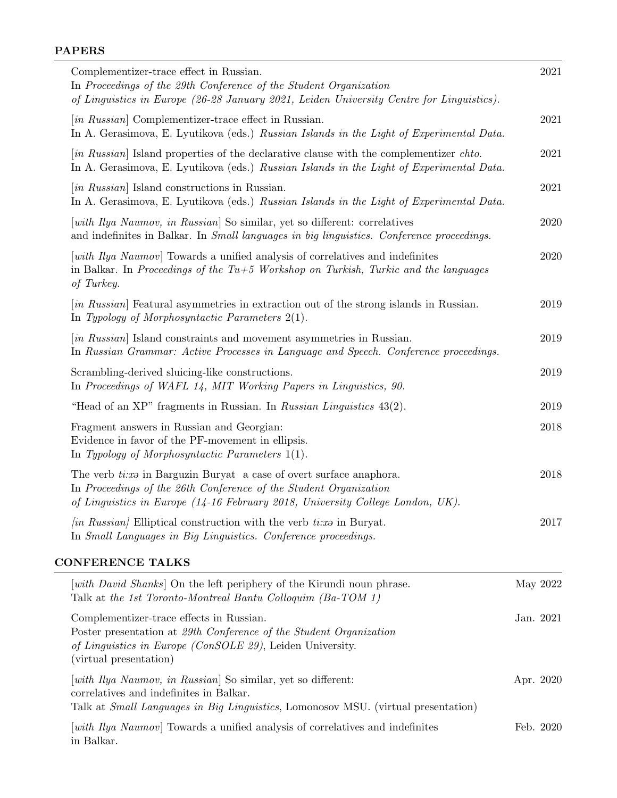# PAPERS

| Complementizer-trace effect in Russian.<br>In Proceedings of the 29th Conference of the Student Organization<br>of Linguistics in Europe (26-28 January 2021, Leiden University Centre for Linguistics).                  |           | 2021      |
|---------------------------------------------------------------------------------------------------------------------------------------------------------------------------------------------------------------------------|-----------|-----------|
| [in Russian] Complementizer-trace effect in Russian.<br>In A. Gerasimova, E. Lyutikova (eds.) Russian Islands in the Light of Experimental Data.                                                                          |           | 2021      |
| [in Russian] Island properties of the declarative clause with the complementizer chto.<br>In A. Gerasimova, E. Lyutikova (eds.) Russian Islands in the Light of Experimental Data.                                        |           | 2021      |
| [in Russian] Island constructions in Russian.<br>In A. Gerasimova, E. Lyutikova (eds.) Russian Islands in the Light of Experimental Data.                                                                                 |           | 2021      |
| [with Ilya Naumov, in Russian] So similar, yet so different: correlatives<br>and indefinites in Balkar. In <i>Small languages in big linguistics. Conference proceedings.</i>                                             |           | 2020      |
| <i>uith Ilya Naumov</i> Towards a unified analysis of correlatives and indefinites<br>in Balkar. In Proceedings of the Tu+5 Workshop on Turkish, Turkic and the languages<br>of Turkey.                                   |           | 2020      |
| [in Russian] Featural asymmetries in extraction out of the strong islands in Russian.<br>In Typology of Morphosyntactic Parameters $2(1)$ .                                                                               |           | 2019      |
| [in Russian] Island constraints and movement asymmetries in Russian.<br>In Russian Grammar: Active Processes in Language and Speech. Conference proceedings.                                                              |           | 2019      |
| Scrambling-derived sluicing-like constructions.<br>In Proceedings of WAFL 14, MIT Working Papers in Linguistics, 90.                                                                                                      |           | 2019      |
| "Head of an XP" fragments in Russian. In Russian Linguistics 43(2).                                                                                                                                                       |           | 2019      |
| Fragment answers in Russian and Georgian:<br>Evidence in favor of the PF-movement in ellipsis.<br>In Typology of Morphosyntactic Parameters $1(1)$ .                                                                      |           | 2018      |
| The verb ti:x in Barguzin Buryat a case of overt surface anaphora.<br>In Proceedings of the 26th Conference of the Student Organization<br>of Linguistics in Europe (14-16 February 2018, University College London, UK). |           | 2018      |
| <i>(in Russian)</i> Elliptical construction with the verb $tix\omega$ in Buryat.<br>In Small Languages in Big Linguistics. Conference proceedings.                                                                        |           | 2017      |
| <b>CONFERENCE TALKS</b>                                                                                                                                                                                                   |           |           |
| <i>vith David Shanks</i> On the left periphery of the Kirundi noun phrase.<br>Talk at the 1st Toronto-Montreal Bantu Colloquim (Ba-TOM 1)                                                                                 |           | May 2022  |
| Complementizer-trace effects in Russian.<br>Poster presentation at 29th Conference of the Student Organization<br>of Linguistics in Europe (ConSOLE 29), Leiden University.<br>(virtual presentation)                     |           | Jan. 2021 |
| [with Ilya Naumov, in Russian] So similar, yet so different:<br>correlatives and indefinites in Balkar.<br>Talk at Small Languages in Big Linguistics, Lomonosov MSU. (virtual presentation)                              | Apr. 2020 |           |
| [with $I$ lya Naumov] Towards a unified analysis of correlatives and indefinites<br>in Balkar.                                                                                                                            | Feb. 2020 |           |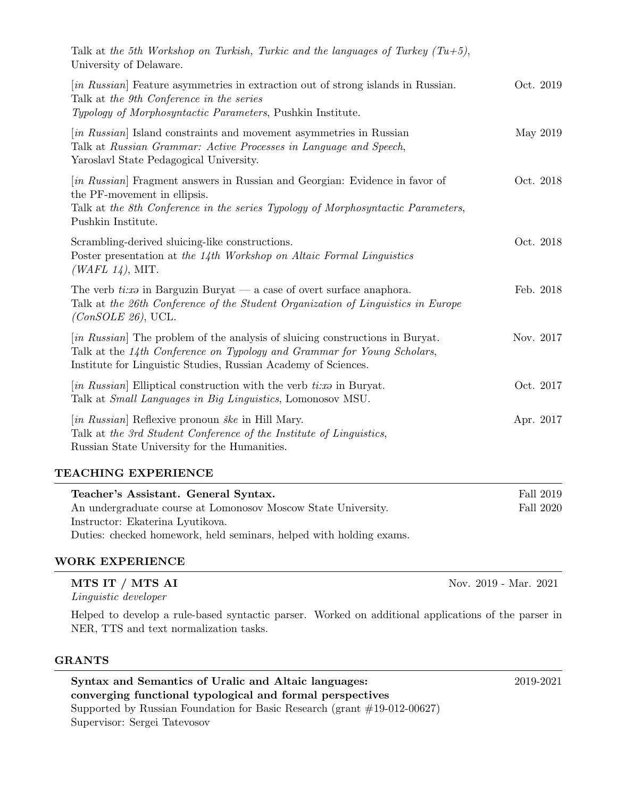| Talk at the 5th Workshop on Turkish, Turkic and the languages of Turkey $(Tu+5)$ ,<br>University of Delaware.                                                                                                              |           |
|----------------------------------------------------------------------------------------------------------------------------------------------------------------------------------------------------------------------------|-----------|
| [in Russian] Feature asymmetries in extraction out of strong islands in Russian.<br>Talk at the 9th Conference in the series<br>Typology of Morphosyntactic Parameters, Pushkin Institute.                                 | Oct. 2019 |
| [in Russian] Island constraints and movement asymmetries in Russian<br>Talk at Russian Grammar: Active Processes in Language and Speech,<br>Yaroslavl State Pedagogical University.                                        | May 2019  |
| [in Russian] Fragment answers in Russian and Georgian: Evidence in favor of<br>the PF-movement in ellipsis.<br>Talk at the 8th Conference in the series Typology of Morphosyntactic Parameters,<br>Pushkin Institute.      | Oct. 2018 |
| Scrambling-derived sluicing-like constructions.<br>Poster presentation at the 14th Workshop on Altaic Formal Linguistics<br>( <i>WAFL 14</i> ), MIT.                                                                       | Oct. 2018 |
| The verb times in Barguzin Buryat — a case of overt surface anaphora.<br>Talk at the 26th Conference of the Student Organization of Linguistics in Europe<br>$(ConSOLE 26)$ , UCL.                                         | Feb. 2018 |
| [in Russian] The problem of the analysis of sluicing constructions in Buryat.<br>Talk at the 14th Conference on Typology and Grammar for Young Scholars,<br>Institute for Linguistic Studies, Russian Academy of Sciences. | Nov. 2017 |
| [in Russian] Elliptical construction with the verb $tix$ in Buryat.<br>Talk at <i>Small Languages in Big Linguistics</i> , Lomonosov MSU.                                                                                  | Oct. 2017 |
| [in Russian] Reflexive pronoun <i>ške</i> in Hill Mary.<br>Talk at the 3rd Student Conference of the Institute of Linguistics,<br>Russian State University for the Humanities.                                             | Apr. 2017 |
| TEACHING EXPERIENCE                                                                                                                                                                                                        |           |

| Teacher's Assistant. General Syntax.                                | Fall 2019 |
|---------------------------------------------------------------------|-----------|
| An undergraduate course at Lomonosov Moscow State University.       | Fall 2020 |
| Instructor: Ekaterina Lyutikova.                                    |           |
| Duties: checked homework, held seminars, helped with holding exams. |           |

## WORK EXPERIENCE

## **MTS IT / MTS AI** Nov. 2019 - Mar. 2021

Linguistic developer

Helped to develop a rule-based syntactic parser. Worked on additional applications of the parser in NER, TTS and text normalization tasks.

## GRANTS

Syntax and Semantics of Uralic and Altaic languages: 2019-2021 converging functional typological and formal perspectives Supported by Russian Foundation for Basic Research (grant #19-012-00627) Supervisor: Sergei Tatevosov